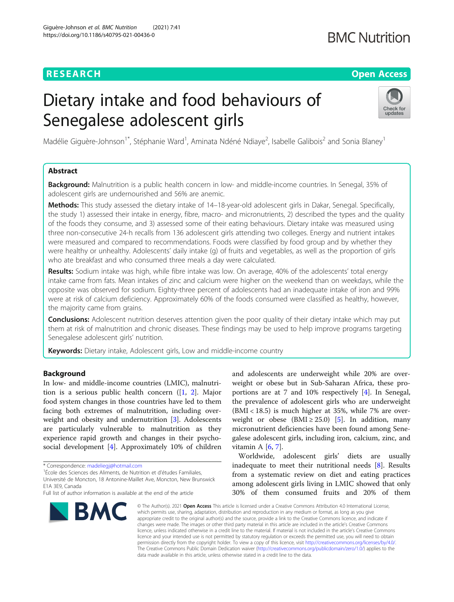### **RESEARCH CHEAR CHEAR CHEAR CHEAR CHEAR CHEAP CONTROL**

## **BMC Nutrition**

# Dietary intake and food behaviours of Senegalese adolescent girls



Madélie Giguère-Johnson<sup>1\*</sup>, Stéphanie Ward<sup>1</sup>, Aminata Ndéné Ndiaye<sup>2</sup>, Isabelle Galibois<sup>2</sup> and Sonia Blaney<sup>1</sup>

#### Abstract

Background: Malnutrition is a public health concern in low- and middle-income countries. In Senegal, 35% of adolescent girls are undernourished and 56% are anemic.

Methods: This study assessed the dietary intake of 14–18-year-old adolescent girls in Dakar, Senegal. Specifically, the study 1) assessed their intake in energy, fibre, macro- and micronutrients, 2) described the types and the quality of the foods they consume, and 3) assessed some of their eating behaviours. Dietary intake was measured using three non-consecutive 24-h recalls from 136 adolescent girls attending two colleges. Energy and nutrient intakes were measured and compared to recommendations. Foods were classified by food group and by whether they were healthy or unhealthy. Adolescents' daily intake (g) of fruits and vegetables, as well as the proportion of girls who ate breakfast and who consumed three meals a day were calculated.

Results: Sodium intake was high, while fibre intake was low. On average, 40% of the adolescents' total energy intake came from fats. Mean intakes of zinc and calcium were higher on the weekend than on weekdays, while the opposite was observed for sodium. Eighty-three percent of adolescents had an inadequate intake of iron and 99% were at risk of calcium deficiency. Approximately 60% of the foods consumed were classified as healthy, however, the majority came from grains.

**Conclusions:** Adolescent nutrition deserves attention given the poor quality of their dietary intake which may put them at risk of malnutrition and chronic diseases. These findings may be used to help improve programs targeting Senegalese adolescent girls' nutrition.

**Keywords:** Dietary intake, Adolescent girls, Low and middle-income country

#### Background

In low- and middle-income countries (LMIC), malnutrition is a serious public health concern ([\[1](#page-8-0), [2](#page-8-0)]. Major food system changes in those countries have led to them facing both extremes of malnutrition, including overweight and obesity and undernutrition [[3\]](#page-8-0). Adolescents are particularly vulnerable to malnutrition as they experience rapid growth and changes in their psychosocial development [[4\]](#page-8-0). Approximately 10% of children

<sup>1</sup>École des Sciences des Aliments, de Nutrition et d'études Familiales,

Université de Moncton, 18 Antonine-Maillet Ave, Moncton, New Brunswick E1A 3E9, Canada

Full list of author information is available at the end of the article



and adolescents are underweight while 20% are overweight or obese but in Sub-Saharan Africa, these proportions are at 7 and 10% respectively [[4\]](#page-8-0). In Senegal, the prevalence of adolescent girls who are underweight  $(BMI < 18.5)$  is much higher at 35%, while 7% are overweight or obese (BMI  $\geq$  25.0) [\[5](#page-8-0)]. In addition, many micronutrient deficiencies have been found among Senegalese adolescent girls, including iron, calcium, zinc, and vitamin A  $[6, 7]$  $[6, 7]$  $[6, 7]$  $[6, 7]$ .

Worldwide, adolescent girls' diets are usually inadequate to meet their nutritional needs [[8\]](#page-9-0). Results from a systematic review on diet and eating practices among adolescent girls living in LMIC showed that only 30% of them consumed fruits and 20% of them

© The Author(s). 2021 Open Access This article is licensed under a Creative Commons Attribution 4.0 International License, which permits use, sharing, adaptation, distribution and reproduction in any medium or format, as long as you give appropriate credit to the original author(s) and the source, provide a link to the Creative Commons licence, and indicate if changes were made. The images or other third party material in this article are included in the article's Creative Commons licence, unless indicated otherwise in a credit line to the material. If material is not included in the article's Creative Commons licence and your intended use is not permitted by statutory regulation or exceeds the permitted use, you will need to obtain permission directly from the copyright holder. To view a copy of this licence, visit [http://creativecommons.org/licenses/by/4.0/.](http://creativecommons.org/licenses/by/4.0/) The Creative Commons Public Domain Dedication waiver [\(http://creativecommons.org/publicdomain/zero/1.0/](http://creativecommons.org/publicdomain/zero/1.0/)) applies to the data made available in this article, unless otherwise stated in a credit line to the data.

<sup>\*</sup> Correspondence: [madeliegj@hotmail.com](mailto:madeliegj@hotmail.com) <sup>1</sup>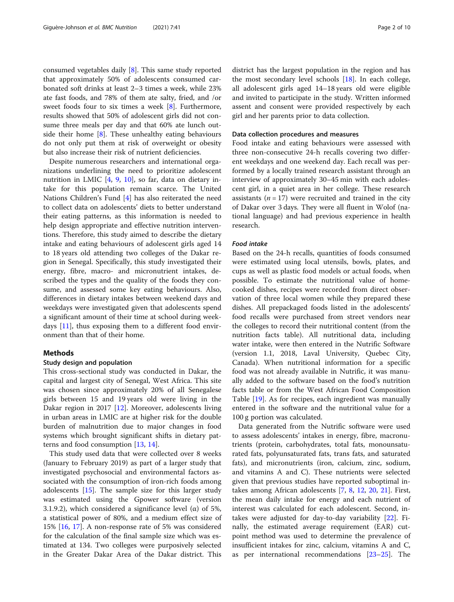consumed vegetables daily [[8\]](#page-9-0). This same study reported that approximately 50% of adolescents consumed carbonated soft drinks at least 2–3 times a week, while 23% ate fast foods, and 78% of them ate salty, fried, and /or sweet foods four to six times a week [[8\]](#page-9-0). Furthermore, results showed that 50% of adolescent girls did not consume three meals per day and that 60% ate lunch outside their home [\[8](#page-9-0)]. These unhealthy eating behaviours do not only put them at risk of overweight or obesity but also increase their risk of nutrient deficiencies.

Despite numerous researchers and international organizations underlining the need to prioritize adolescent nutrition in LMIC [[4,](#page-8-0) [9,](#page-9-0) [10](#page-9-0)], so far, data on dietary intake for this population remain scarce. The United Nations Children's Fund [[4\]](#page-8-0) has also reiterated the need to collect data on adolescents' diets to better understand their eating patterns, as this information is needed to help design appropriate and effective nutrition interventions. Therefore, this study aimed to describe the dietary intake and eating behaviours of adolescent girls aged 14 to 18 years old attending two colleges of the Dakar region in Senegal. Specifically, this study investigated their energy, fibre, macro- and micronutrient intakes, described the types and the quality of the foods they consume, and assessed some key eating behaviours. Also, differences in dietary intakes between weekend days and weekdays were investigated given that adolescents spend a significant amount of their time at school during weekdays [\[11](#page-9-0)], thus exposing them to a different food environment than that of their home.

#### Methods

#### Study design and population

This cross-sectional study was conducted in Dakar, the capital and largest city of Senegal, West Africa. This site was chosen since approximately 20% of all Senegalese girls between 15 and 19 years old were living in the Dakar region in 2017 [[12\]](#page-9-0). Moreover, adolescents living in urban areas in LMIC are at higher risk for the double burden of malnutrition due to major changes in food systems which brought significant shifts in dietary patterns and food consumption [\[13,](#page-9-0) [14\]](#page-9-0).

This study used data that were collected over 8 weeks (January to February 2019) as part of a larger study that investigated psychosocial and environmental factors associated with the consumption of iron-rich foods among adolescents  $[15]$ . The sample size for this larger study was estimated using the Gpower software (version 3.1.9.2), which considered a significance level (α) of 5%, a statistical power of 80%, and a medium effect size of 15% [[16,](#page-9-0) [17\]](#page-9-0). A non-response rate of 5% was considered for the calculation of the final sample size which was estimated at 134. Two colleges were purposively selected in the Greater Dakar Area of the Dakar district. This

district has the largest population in the region and has the most secondary level schools [[18](#page-9-0)]. In each college, all adolescent girls aged 14–18 years old were eligible and invited to participate in the study. Written informed assent and consent were provided respectively by each girl and her parents prior to data collection.

#### Data collection procedures and measures

Food intake and eating behaviours were assessed with three non-consecutive 24-h recalls covering two different weekdays and one weekend day. Each recall was performed by a locally trained research assistant through an interview of approximately 30–45 min with each adolescent girl, in a quiet area in her college. These research assistants ( $n = 17$ ) were recruited and trained in the city of Dakar over 3 days. They were all fluent in Wolof (national language) and had previous experience in health research.

#### Food intake

Based on the 24-h recalls, quantities of foods consumed were estimated using local utensils, bowls, plates, and cups as well as plastic food models or actual foods, when possible. To estimate the nutritional value of homecooked dishes, recipes were recorded from direct observation of three local women while they prepared these dishes. All prepackaged foods listed in the adolescents' food recalls were purchased from street vendors near the colleges to record their nutritional content (from the nutrition facts table). All nutritional data, including water intake, were then entered in the Nutrific Software (version 1.1, 2018, Laval University, Quebec City, Canada). When nutritional information for a specific food was not already available in Nutrific, it was manually added to the software based on the food's nutrition facts table or from the West African Food Composition Table [\[19](#page-9-0)]. As for recipes, each ingredient was manually entered in the software and the nutritional value for a 100 g portion was calculated.

Data generated from the Nutrific software were used to assess adolescents' intakes in energy, fibre, macronutrients (protein, carbohydrates, total fats, monounsaturated fats, polyunsaturated fats, trans fats, and saturated fats), and micronutrients (iron, calcium, zinc, sodium, and vitamins A and C). These nutrients were selected given that previous studies have reported suboptimal intakes among African adolescents [\[7](#page-9-0), [8,](#page-9-0) [12](#page-9-0), [20,](#page-9-0) [21](#page-9-0)]. First, the mean daily intake for energy and each nutrient of interest was calculated for each adolescent. Second, intakes were adjusted for day-to-day variability [\[22\]](#page-9-0). Finally, the estimated average requirement (EAR) cutpoint method was used to determine the prevalence of insufficient intakes for zinc, calcium, vitamins A and C, as per international recommendations [\[23](#page-9-0)–[25\]](#page-9-0). The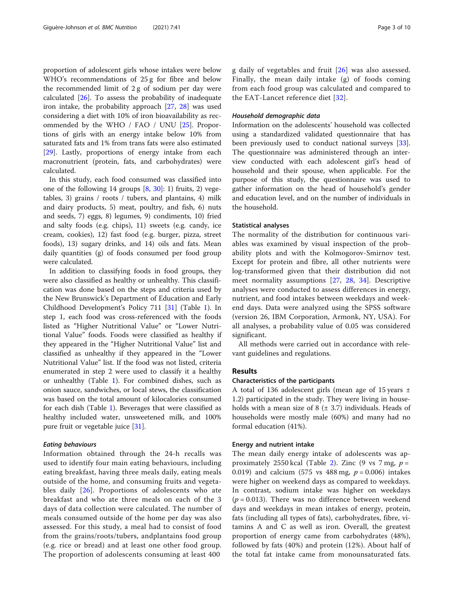proportion of adolescent girls whose intakes were below WHO's recommendations of 25 g for fibre and below the recommended limit of 2 g of sodium per day were calculated  $[26]$  $[26]$ . To assess the probability of inadequate iron intake, the probability approach [\[27](#page-9-0), [28](#page-9-0)] was used considering a diet with 10% of iron bioavailability as recommended by the WHO / FAO / UNU [[25\]](#page-9-0). Proportions of girls with an energy intake below 10% from saturated fats and 1% from trans fats were also estimated [[29\]](#page-9-0). Lastly, proportions of energy intake from each macronutrient (protein, fats, and carbohydrates) were calculated.

In this study, each food consumed was classified into one of the following 14 groups  $[8, 30]$  $[8, 30]$  $[8, 30]$  $[8, 30]$ : 1) fruits, 2) vegetables, 3) grains / roots / tubers, and plantains, 4) milk and dairy products, 5) meat, poultry, and fish, 6) nuts and seeds, 7) eggs, 8) legumes, 9) condiments, 10) fried and salty foods (e.g. chips), 11) sweets (e.g. candy, ice cream, cookies), 12) fast food (e.g. burger, pizza, street foods), 13) sugary drinks, and 14) oils and fats. Mean daily quantities (g) of foods consumed per food group were calculated.

In addition to classifying foods in food groups, they were also classified as healthy or unhealthy. This classification was done based on the steps and criteria used by the New Brunswick's Department of Education and Early Childhood Development's Policy 711 [[31](#page-9-0)] (Table [1](#page-3-0)). In step 1, each food was cross-referenced with the foods listed as "Higher Nutritional Value" or "Lower Nutritional Value" foods. Foods were classified as healthy if they appeared in the "Higher Nutritional Value" list and classified as unhealthy if they appeared in the "Lower Nutritional Value" list. If the food was not listed, criteria enumerated in step 2 were used to classify it a healthy or unhealthy (Table [1\)](#page-3-0). For combined dishes, such as onion sauce, sandwiches, or local stews, the classification was based on the total amount of kilocalories consumed for each dish (Table [1](#page-3-0)). Beverages that were classified as healthy included water, unsweetened milk, and 100% pure fruit or vegetable juice [\[31](#page-9-0)].

#### Eating behaviours

Information obtained through the 24-h recalls was used to identify four main eating behaviours, including eating breakfast, having three meals daily, eating meals outside of the home, and consuming fruits and vegeta-bles daily [\[26](#page-9-0)]. Proportions of adolescents who ate breakfast and who ate three meals on each of the 3 days of data collection were calculated. The number of meals consumed outside of the home per day was also assessed. For this study, a meal had to consist of food from the grains/roots/tubers, andplantains food group (e.g. rice or bread) and at least one other food group. The proportion of adolescents consuming at least 400

g daily of vegetables and fruit [\[26\]](#page-9-0) was also assessed. Finally, the mean daily intake (g) of foods coming from each food group was calculated and compared to the EAT-Lancet reference diet  $[32]$  $[32]$ .

#### Household demographic data

Information on the adolescents' household was collected using a standardized validated questionnaire that has been previously used to conduct national surveys [\[33](#page-9-0)]. The questionnaire was administered through an interview conducted with each adolescent girl's head of household and their spouse, when applicable. For the purpose of this study, the questionnaire was used to gather information on the head of household's gender and education level, and on the number of individuals in the household.

#### Statistical analyses

The normality of the distribution for continuous variables was examined by visual inspection of the probability plots and with the Kolmogorov-Smirnov test. Except for protein and fibre, all other nutrients were log-transformed given that their distribution did not meet normality assumptions [\[27](#page-9-0), [28,](#page-9-0) [34](#page-9-0)]. Descriptive analyses were conducted to assess differences in energy, nutrient, and food intakes between weekdays and weekend days. Data were analyzed using the SPSS software (version 26, IBM Corporation, Armonk, NY, USA). For all analyses, a probability value of 0.05 was considered significant.

All methods were carried out in accordance with relevant guidelines and regulations.

#### Results

#### Characteristics of the participants

A total of 136 adolescent girls (mean age of 15 years  $\pm$ 1.2) participated in the study. They were living in households with a mean size of  $8$  ( $\pm$  3.7) individuals. Heads of households were mostly male (60%) and many had no formal education (41%).

#### Energy and nutrient intake

The mean daily energy intake of adolescents was ap-proximately 2550 kcal (Table [2\)](#page-4-0). Zinc (9 vs 7 mg,  $p =$ 0.019) and calcium (575 vs 488 mg,  $p = 0.006$ ) intakes were higher on weekend days as compared to weekdays. In contrast, sodium intake was higher on weekdays  $(p = 0.013)$ . There was no difference between weekend days and weekdays in mean intakes of energy, protein, fats (including all types of fats), carbohydrates, fibre, vitamins A and C as well as iron. Overall, the greatest proportion of energy came from carbohydrates (48%), followed by fats (40%) and protein (12%). About half of the total fat intake came from monounsaturated fats.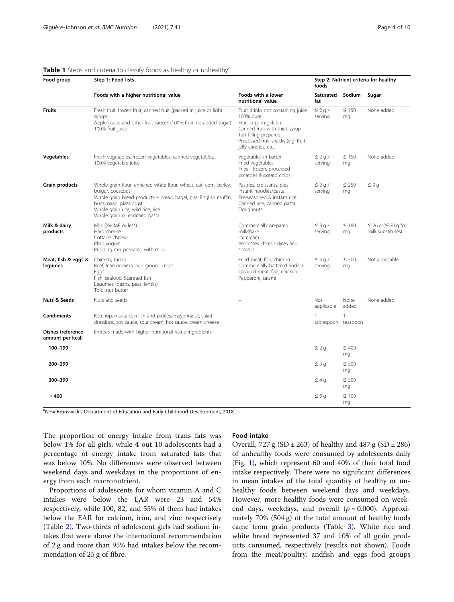<span id="page-3-0"></span>

| Table 1 Steps and criteria to classify foods as healthy or unhealthy <sup>a</sup> |
|-----------------------------------------------------------------------------------|
|-----------------------------------------------------------------------------------|

| Food group                            | Step 1: Food lists                                                                                                                                                                                                                                          | Step 2: Nutrient criteria for healthy<br>foods                                                                                                                                                  |                          |                  |                                                    |
|---------------------------------------|-------------------------------------------------------------------------------------------------------------------------------------------------------------------------------------------------------------------------------------------------------------|-------------------------------------------------------------------------------------------------------------------------------------------------------------------------------------------------|--------------------------|------------------|----------------------------------------------------|
|                                       | Foods with a higher nutritional value                                                                                                                                                                                                                       | Foods with a lower<br>nutritional value                                                                                                                                                         | Saturated<br>fat         | Sodium           | Sugar                                              |
| <b>Fruits</b>                         | Fresh fruit, frozen fruit, canned fruit (packed in juice or light<br>syrup)<br>Apple sauce and other fruit sauces (100% fruit, no added sugar)<br>100% fruit juice                                                                                          | Fruit drinks not containing juice<br>100% pure<br>Fruit cups in gelatin<br>Canned fruit with thick syrup<br>Tart filling prepared<br>Processed fruit snacks (e.g. fruit<br>jelly candies, etc.) | $\leq$ 2 q /<br>serving  | $\leq$ 150<br>mg | None added                                         |
| <b>Vegetables</b>                     | Fresh vegetables, frozen vegetables, canned vegetables,<br>100% vegetable juice                                                                                                                                                                             | Vegetables in batter<br>Fried vegetables<br>Fries - frozen, processed<br>potatoes & potato chips                                                                                                | $\leq$ 2 g /<br>serving  | $\leq$ 150<br>mg | None added                                         |
| Grain products                        | Whole grain flour, enriched white flour, wheat, oat, corn, barley,<br>bulgur, couscous<br>Whole grain bread products - bread, bagel, pita, English muffin,<br>buns, naan, pizza crust<br>Whole grain rice, wild rice, rice<br>Whole grain or enriched pasta | Pastries, croissants, pies<br>Instant noodles/pasta<br>Pre-seasoned & instant rice<br>Canned rice, canned pasta<br>Doughnuts                                                                    | $\leq$ 2 g /<br>serving  | $\leq 250$<br>mg | $\leq 9q$                                          |
| Milk & dairy<br>products              | Milk (2% MF or less)<br>Hard cheese<br>Cottage cheese<br>Plain yogurt<br>Pudding mix prepared with milk                                                                                                                                                     | Commercially prepared<br>milkshake<br>Ice cream<br>Processes cheese slices and<br>spreads                                                                                                       | $\leq$ 3 q/<br>serving   | $\leq$ 180<br>mg | $\leq$ 26 g ( $\leq$ 20 g for<br>milk substitutes) |
| Meat, fish & eggs &<br>legumes        | Chicken, turkey<br>Beef, lean or extra lean ground meat<br>Eggs<br>Fish, seafood &canned fish<br>Legumes (beans, peas, lentils)<br>Tofu, nut butter                                                                                                         | Fried meat, fish, chicken<br>Commercially battered and/or<br>breaded meat, fish, chicken<br>Pepperoni, salami                                                                                   | $\leq 4q/$<br>serving    | $\leq 500$<br>mq | Not applicable                                     |
| Nuts & Seeds                          | Nuts and seeds                                                                                                                                                                                                                                              |                                                                                                                                                                                                 | Not<br>applicable        | None<br>added    | None added                                         |
| <b>Condiments</b>                     | Ketchup, mustard, relish and pickles, mayonnaise, salad<br>dressings, soy sauce, sour cream, hot sauce, cream cheese                                                                                                                                        |                                                                                                                                                                                                 | 1<br>tablespoon teaspoon | 1                |                                                    |
| Dishes (reference<br>amount per kcal) | Entrées made with higher nutritional value ingredients                                                                                                                                                                                                      |                                                                                                                                                                                                 |                          |                  |                                                    |
| 100-199                               |                                                                                                                                                                                                                                                             |                                                                                                                                                                                                 | $\leq 2q$                | $\leq 400$<br>mg |                                                    |
| 200-299                               |                                                                                                                                                                                                                                                             |                                                                                                                                                                                                 | $\leq 3q$                | $\leq 500$<br>mg |                                                    |
| 300-399                               |                                                                                                                                                                                                                                                             |                                                                                                                                                                                                 | $\leq 4q$                | $\leq 500$<br>mg |                                                    |
| $\geq 400$                            |                                                                                                                                                                                                                                                             |                                                                                                                                                                                                 | $\leq$ 5 g               | $\leq 700$<br>mg |                                                    |

<sup>a</sup>New Brunswick's Department of Education and Early Childhood Development, 2018

The proportion of energy intake from trans fats was below 1% for all girls, while 4 out 10 adolescents had a percentage of energy intake from saturated fats that was below 10%. No differences were observed between weekend days and weekdays in the proportions of energy from each macronutrient.

Proportions of adolescents for whom vitamin A and C intakes were below the EAR were 23 and 54% respectively, while 100, 82, and 55% of them had intakes below the EAR for calcium, iron, and zinc respectively (Table [2](#page-4-0)). Two-thirds of adolescent girls had sodium intakes that were above the international recommendation of 2 g and more than 95% had intakes below the recommendation of 25 g of fibre.

#### Food intake

Overall, 727 g (SD  $\pm$  263) of healthy and 487 g (SD  $\pm$  286) of unhealthy foods were consumed by adolescents daily (Fig. [1](#page-4-0)), which represent 60 and 40% of their total food intake respectively. There were no significant differences in mean intakes of the total quantity of healthy or unhealthy foods between weekend days and weekdays. However, more healthy foods were consumed on weekend days, weekdays, and overall  $(p = 0.000)$ . Approximately 70% (504 g) of the total amount of healthy foods came from grain products (Table [3](#page-5-0)). White rice and white bread represented 37 and 10% of all grain products consumed, respectively (results not shown). Foods from the meat/poultry, andfish and eggs food groups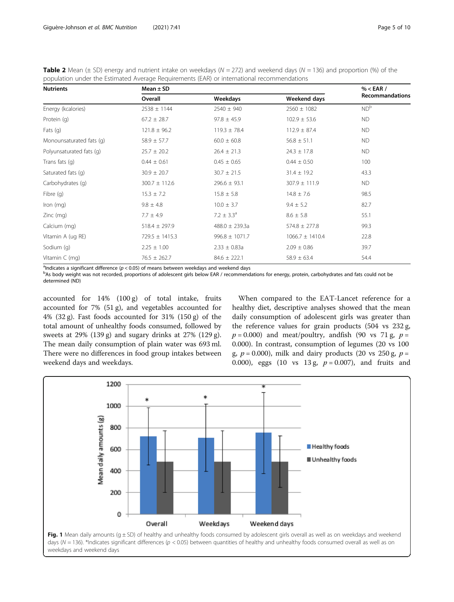<span id="page-4-0"></span>

| <b>Table 2</b> Mean (± SD) energy and nutrient intake on weekdays ( $N = 272$ ) and weekend days ( $N = 136$ ) and proportion (%) of the |  |
|------------------------------------------------------------------------------------------------------------------------------------------|--|
| population under the Estimated Average Requirements (EAR) or international recommendations                                               |  |

| <b>Nutrients</b>         | Mean $\pm$ SD      | % < EAR /          |                     |                        |  |
|--------------------------|--------------------|--------------------|---------------------|------------------------|--|
|                          | Overall            | Weekdays           | Weekend days        | <b>Recommandations</b> |  |
| Energy (kcalories)       | $2538 \pm 1144$    | $2540 \pm 940$     | $2560 \pm 1082$     | ND <sup>b</sup>        |  |
| Protein (q)              | $67.2 \pm 28.7$    | $97.8 \pm 45.9$    | $102.9 \pm 53.6$    | <b>ND</b>              |  |
| Fats $(q)$               | $121.8 \pm 96.2$   | $119.3 \pm 78.4$   | $112.9 \pm 87.4$    | <b>ND</b>              |  |
| Monounsaturated fats (q) | $58.9 \pm 57.7$    | $60.0 \pm 60.8$    | $56.8 \pm 51.1$     | ND.                    |  |
| Polyunsaturated fats (q) | $25.7 \pm 20.2$    | $26.4 \pm 21.3$    | $24.3 \pm 17.8$     | <b>ND</b>              |  |
| Trans fats (q)           | $0.44 \pm 0.61$    | $0.45 \pm 0.65$    | $0.44 \pm 0.50$     | 100                    |  |
| Saturated fats (q)       | $30.9 \pm 20.7$    | $30.7 \pm 21.5$    | $31.4 \pm 19.2$     | 43.3                   |  |
| Carbohydrates (q)        | $300.7 \pm 112.6$  | $296.6 \pm 93.1$   | $307.9 \pm 111.9$   | <b>ND</b>              |  |
| Fibre $(q)$              | $15.3 \pm 7.2$     | $15.8 \pm 5.8$     | $14.8 \pm 7.6$      | 98.5                   |  |
| Iron (mg)                | $9.8 \pm 4.8$      | $10.0 \pm 3.7$     | $9.4 \pm 5.2$       | 82.7                   |  |
| $Zinc$ (mg)              | $7.7 \pm 4.9$      | $7.2 \pm 3.3^a$    | $8.6 \pm 5.8$       | 55.1                   |  |
| Calcium (mg)             | $518.4 \pm 297.9$  | $488.0 \pm 239.3a$ | $574.8 \pm 277.8$   | 99.3                   |  |
| Vitamin A (ug RE)        | $729.5 \pm 1415.3$ | $996.8 \pm 1071.7$ | $1066.7 \pm 1410.4$ | 22.8                   |  |
| Sodium (q)               | $2.25 \pm 1.00$    | $2.33 \pm 0.83a$   | $2.09 \pm 0.86$     | 39.7                   |  |
| Vitamin C (mg)           | $76.5 \pm 262.7$   | $84.6 \pm 222.1$   | $58.9 \pm 63.4$     | 54.4                   |  |

andicates a significant difference ( $p < 0.05$ ) of means between weekdays and weekend days<br>has body weight was not recorded, proportions of adolescent girls below EAR / recommence

<sup>b</sup>As body weight was not recorded, proportions of adolescent girls below EAR / recommendations for energy, protein, carbohydrates and fats could not be determined (ND)

accounted for 14% (100 g) of total intake, fruits accounted for 7% (51 g), and vegetables accounted for 4% (32 g). Fast foods accounted for  $31\%$  (150 g) of the total amount of unhealthy foods consumed, followed by sweets at 29% (139 g) and sugary drinks at 27% (129 g). The mean daily consumption of plain water was 693 ml. There were no differences in food group intakes between weekend days and weekdays.

When compared to the EAT-Lancet reference for a healthy diet, descriptive analyses showed that the mean daily consumption of adolescent girls was greater than the reference values for grain products (504 vs 232 g,  $p = 0.000$ ) and meat/poultry, and fish (90 vs 71 g,  $p =$ 0.000). In contrast, consumption of legumes (20 vs 100 g,  $p = 0.000$ ), milk and dairy products (20 vs 250 g,  $p =$ 0.000), eggs (10 vs 13 g,  $p = 0.007$ ), and fruits and

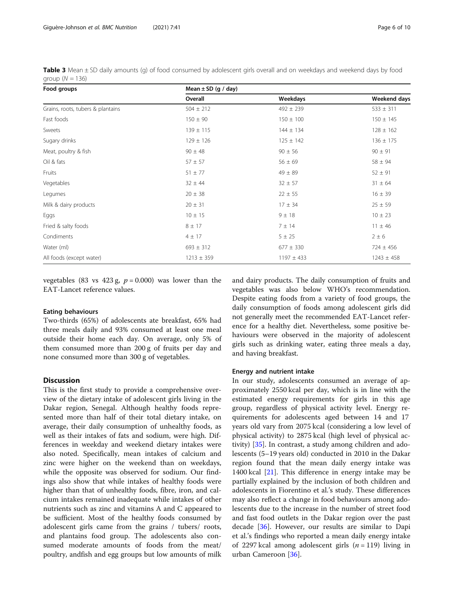<span id="page-5-0"></span>

| Table 3 Mean ± SD daily amounts (g) of food consumed by adolescent girls overall and on weekdays and weekend days by food |  |  |  |  |  |
|---------------------------------------------------------------------------------------------------------------------------|--|--|--|--|--|
| group $(N = 136)$                                                                                                         |  |  |  |  |  |

| Food groups                       | Mean $\pm$ SD (g / day) |                |                |  |  |
|-----------------------------------|-------------------------|----------------|----------------|--|--|
|                                   | Overall                 | Weekdays       | Weekend days   |  |  |
| Grains, roots, tubers & plantains | $504 \pm 212$           | $492 \pm 239$  | $533 \pm 311$  |  |  |
| Fast foods                        | $150 \pm 90$            | $150 \pm 100$  | $150 \pm 145$  |  |  |
| Sweets                            | $139 \pm 115$           | $144 \pm 134$  | $128 \pm 162$  |  |  |
| Sugary drinks                     | $129 \pm 126$           | $125 \pm 142$  | $136 \pm 175$  |  |  |
| Meat, poultry & fish              | $90 \pm 48$             | $90 \pm 56$    | $90 \pm 91$    |  |  |
| Oil & fats                        | $57 \pm 57$             | $56 \pm 69$    | $58 \pm 94$    |  |  |
| Fruits                            | $51 \pm 77$             | $49 \pm 89$    | $52 \pm 91$    |  |  |
| Vegetables                        | $32 \pm 44$             | $32 \pm 57$    | $31 \pm 64$    |  |  |
| Legumes                           | $20 \pm 38$             | $22 \pm 55$    | $16 \pm 39$    |  |  |
| Milk & dairy products             | $20 \pm 31$             | $17 \pm 34$    | $25 \pm 59$    |  |  |
| Eggs                              | $10 \pm 15$             | 9 ± 18         | $10 \pm 23$    |  |  |
| Fried & salty foods               | $8 \pm 17$              | 7 ± 14         | $11 \pm 46$    |  |  |
| Condiments                        | $4 \pm 17$              | $5 \pm 25$     | $2 \pm 6$      |  |  |
| Water (ml)                        | $693 \pm 312$           | $677 \pm 330$  | $724 \pm 456$  |  |  |
| All foods (except water)          | $1213 \pm 359$          | $1197 \pm 433$ | $1243 \pm 458$ |  |  |

vegetables (83 vs 423 g,  $p = 0.000$ ) was lower than the EAT-Lancet reference values.

#### Eating behaviours

Two-thirds (65%) of adolescents ate breakfast, 65% had three meals daily and 93% consumed at least one meal outside their home each day. On average, only 5% of them consumed more than 200 g of fruits per day and none consumed more than 300 g of vegetables.

#### **Discussion**

This is the first study to provide a comprehensive overview of the dietary intake of adolescent girls living in the Dakar region, Senegal. Although healthy foods represented more than half of their total dietary intake, on average, their daily consumption of unhealthy foods, as well as their intakes of fats and sodium, were high. Differences in weekday and weekend dietary intakes were also noted. Specifically, mean intakes of calcium and zinc were higher on the weekend than on weekdays, while the opposite was observed for sodium. Our findings also show that while intakes of healthy foods were higher than that of unhealthy foods, fibre, iron, and calcium intakes remained inadequate while intakes of other nutrients such as zinc and vitamins A and C appeared to be sufficient. Most of the healthy foods consumed by adolescent girls came from the grains / tubers/ roots, and plantains food group. The adolescents also consumed moderate amounts of foods from the meat/ poultry, andfish and egg groups but low amounts of milk

and dairy products. The daily consumption of fruits and vegetables was also below WHO's recommendation. Despite eating foods from a variety of food groups, the daily consumption of foods among adolescent girls did not generally meet the recommended EAT-Lancet reference for a healthy diet. Nevertheless, some positive behaviours were observed in the majority of adolescent girls such as drinking water, eating three meals a day, and having breakfast.

#### Energy and nutrient intake

In our study, adolescents consumed an average of approximately 2550 kcal per day, which is in line with the estimated energy requirements for girls in this age group, regardless of physical activity level. Energy requirements for adolescents aged between 14 and 17 years old vary from 2075 kcal (considering a low level of physical activity) to 2875 kcal (high level of physical activity) [\[35](#page-9-0)]. In contrast, a study among children and adolescents (5–19 years old) conducted in 2010 in the Dakar region found that the mean daily energy intake was 1400 kcal  $[21]$  $[21]$ . This difference in energy intake may be partially explained by the inclusion of both children and adolescents in Fiorentino et al.'s study. These differences may also reflect a change in food behaviours among adolescents due to the increase in the number of street food and fast food outlets in the Dakar region over the past decade [[36\]](#page-9-0). However, our results are similar to Dapi et al.'s findings who reported a mean daily energy intake of 2297 kcal among adolescent girls  $(n = 119)$  living in urban Cameroon [[36](#page-9-0)].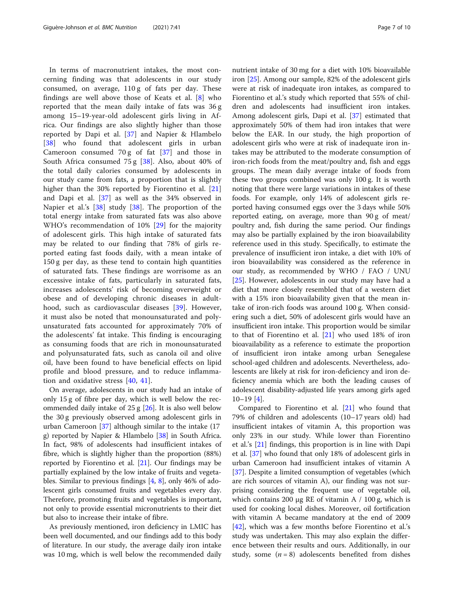In terms of macronutrient intakes, the most concerning finding was that adolescents in our study consumed, on average, 110 g of fats per day. These findings are well above those of Keats et al. [[8](#page-9-0)] who reported that the mean daily intake of fats was 36 g among 15–19-year-old adolescent girls living in Africa. Our findings are also slightly higher than those reported by Dapi et al. [\[37](#page-9-0)] and Napier & Hlambelo [[38\]](#page-9-0) who found that adolescent girls in urban Cameroon consumed 70 g of fat [[37\]](#page-9-0) and those in South Africa consumed 75 g [\[38](#page-9-0)]. Also, about 40% of the total daily calories consumed by adolescents in our study came from fats, a proportion that is slightly higher than the 30% reported by Fiorentino et al. [\[21](#page-9-0)] and Dapi et al. [[37\]](#page-9-0) as well as the 34% observed in Napier et al.'s [\[38](#page-9-0)] study [\[38](#page-9-0)]. The proportion of the total energy intake from saturated fats was also above WHO's recommendation of 10% [[29\]](#page-9-0) for the majority of adolescent girls. This high intake of saturated fats may be related to our finding that 78% of girls reported eating fast foods daily, with a mean intake of 150 g per day, as these tend to contain high quantities of saturated fats. These findings are worrisome as an excessive intake of fats, particularly in saturated fats, increases adolescents' risk of becoming overweight or obese and of developing chronic diseases in adulthood, such as cardiovascular diseases [\[39](#page-9-0)]. However, it must also be noted that monounsaturated and polyunsaturated fats accounted for approximately 70% of the adolescents' fat intake. This finding is encouraging as consuming foods that are rich in monounsaturated and polyunsaturated fats, such as canola oil and olive oil, have been found to have beneficial effects on lipid profile and blood pressure, and to reduce inflammation and oxidative stress [\[40](#page-9-0), [41](#page-9-0)].

On average, adolescents in our study had an intake of only 15 g of fibre per day, which is well below the recommended daily intake of 25 g [\[26](#page-9-0)]. It is also well below the 30 g previously observed among adolescent girls in urban Cameroon [\[37](#page-9-0)] although similar to the intake (17 g) reported by Napier & Hlambelo [\[38\]](#page-9-0) in South Africa. In fact, 98% of adolescents had insufficient intakes of fibre, which is slightly higher than the proportion (88%) reported by Fiorentino et al. [[21](#page-9-0)]. Our findings may be partially explained by the low intake of fruits and vegetables. Similar to previous findings [[4](#page-8-0), [8\]](#page-9-0), only 46% of adolescent girls consumed fruits and vegetables every day. Therefore, promoting fruits and vegetables is important, not only to provide essential micronutrients to their diet but also to increase their intake of fibre.

As previously mentioned, iron deficiency in LMIC has been well documented, and our findings add to this body of literature. In our study, the average daily iron intake was 10 mg, which is well below the recommended daily

nutrient intake of 30 mg for a diet with 10% bioavailable iron [[25](#page-9-0)]. Among our sample, 82% of the adolescent girls were at risk of inadequate iron intakes, as compared to Fiorentino et al.'s study which reported that 55% of children and adolescents had insufficient iron intakes. Among adolescent girls, Dapi et al. [[37\]](#page-9-0) estimated that approximately 50% of them had iron intakes that were below the EAR. In our study, the high proportion of adolescent girls who were at risk of inadequate iron intakes may be attributed to the moderate consumption of iron-rich foods from the meat/poultry and, fish and eggs groups. The mean daily average intake of foods from these two groups combined was only 100 g. It is worth noting that there were large variations in intakes of these foods. For example, only 14% of adolescent girls reported having consumed eggs over the 3 days while 50% reported eating, on average, more than 90 g of meat/ poultry and, fish during the same period. Our findings may also be partially explained by the iron bioavailability reference used in this study. Specifically, to estimate the prevalence of insufficient iron intake, a diet with 10% of iron bioavailability was considered as the reference in our study, as recommended by WHO / FAO / UNU [[25\]](#page-9-0). However, adolescents in our study may have had a diet that more closely resembled that of a western diet with a 15% iron bioavailability given that the mean intake of iron-rich foods was around 100 g. When considering such a diet, 50% of adolescent girls would have an insufficient iron intake. This proportion would be similar to that of Fiorentino et al. [[21\]](#page-9-0) who used 18% of iron bioavailability as a reference to estimate the proportion of insufficient iron intake among urban Senegalese school-aged children and adolescents. Nevertheless, adolescents are likely at risk for iron-deficiency and iron deficiency anemia which are both the leading causes of adolescent disability-adjusted life years among girls aged  $10-19$  [\[4](#page-8-0)].

Compared to Fiorentino et al. [[21](#page-9-0)] who found that 79% of children and adolescents (10–17 years old) had insufficient intakes of vitamin A, this proportion was only 23% in our study. While lower than Fiorentino et al.'s [\[21](#page-9-0)] findings, this proportion is in line with Dapi et al. [[37](#page-9-0)] who found that only 18% of adolescent girls in urban Cameroon had insufficient intakes of vitamin A [[37\]](#page-9-0). Despite a limited consumption of vegetables (which are rich sources of vitamin A), our finding was not surprising considering the frequent use of vegetable oil, which contains 200 μg RE of vitamin A  $/$  100 g, which is used for cooking local dishes. Moreover, oil fortification with vitamin A became mandatory at the end of 2009 [[42\]](#page-9-0), which was a few months before Fiorentino et al.'s study was undertaken. This may also explain the difference between their results and ours. Additionally, in our study, some  $(n = 8)$  adolescents benefited from dishes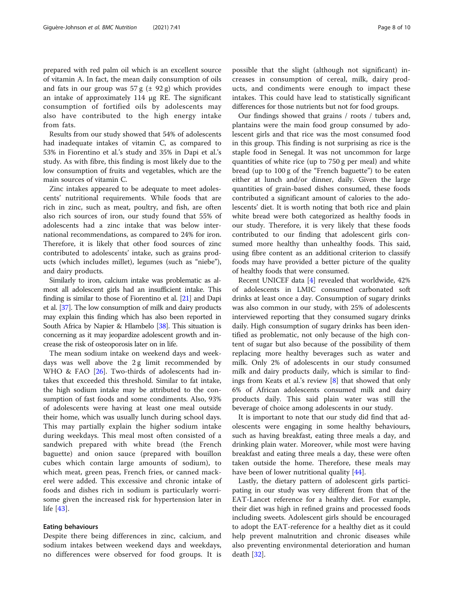prepared with red palm oil which is an excellent source of vitamin A. In fact, the mean daily consumption of oils and fats in our group was  $57 g (\pm 92 g)$  which provides an intake of approximately 114 μg RE. The significant consumption of fortified oils by adolescents may also have contributed to the high energy intake from fats.

Results from our study showed that 54% of adolescents had inadequate intakes of vitamin C, as compared to 53% in Fiorentino et al.'s study and 35% in Dapi et al.'s study. As with fibre, this finding is most likely due to the low consumption of fruits and vegetables, which are the main sources of vitamin C.

Zinc intakes appeared to be adequate to meet adolescents' nutritional requirements. While foods that are rich in zinc, such as meat, poultry, and fish, are often also rich sources of iron, our study found that 55% of adolescents had a zinc intake that was below international recommendations, as compared to 24% for iron. Therefore, it is likely that other food sources of zinc contributed to adolescents' intake, such as grains products (which includes millet), legumes (such as "niebe"), and dairy products.

Similarly to iron, calcium intake was problematic as almost all adolescent girls had an insufficient intake. This finding is similar to those of Fiorentino et al. [\[21](#page-9-0)] and Dapi et al. [[37](#page-9-0)]. The low consumption of milk and dairy products may explain this finding which has also been reported in South Africa by Napier & Hlambelo [\[38\]](#page-9-0). This situation is concerning as it may jeopardize adolescent growth and increase the risk of osteoporosis later on in life.

The mean sodium intake on weekend days and weekdays was well above the 2 g limit recommended by WHO & FAO [[26](#page-9-0)]. Two-thirds of adolescents had intakes that exceeded this threshold. Similar to fat intake, the high sodium intake may be attributed to the consumption of fast foods and some condiments. Also, 93% of adolescents were having at least one meal outside their home, which was usually lunch during school days. This may partially explain the higher sodium intake during weekdays. This meal most often consisted of a sandwich prepared with white bread (the French baguette) and onion sauce (prepared with bouillon cubes which contain large amounts of sodium), to which meat, green peas, French fries, or canned mackerel were added. This excessive and chronic intake of foods and dishes rich in sodium is particularly worrisome given the increased risk for hypertension later in life [[43\]](#page-9-0).

#### Eating behaviours

Despite there being differences in zinc, calcium, and sodium intakes between weekend days and weekdays, no differences were observed for food groups. It is possible that the slight (although not significant) increases in consumption of cereal, milk, dairy products, and condiments were enough to impact these intakes. This could have lead to statistically significant differences for those nutrients but not for food groups.

Our findings showed that grains / roots / tubers and, plantains were the main food group consumed by adolescent girls and that rice was the most consumed food in this group. This finding is not surprising as rice is the staple food in Senegal. It was not uncommon for large quantities of white rice (up to 750 g per meal) and white bread (up to 100 g of the "French baguette") to be eaten either at lunch and/or dinner, daily. Given the large quantities of grain-based dishes consumed, these foods contributed a significant amount of calories to the adolescents' diet. It is worth noting that both rice and plain white bread were both categorized as healthy foods in our study. Therefore, it is very likely that these foods contributed to our finding that adolescent girls consumed more healthy than unhealthy foods. This said, using fibre content as an additional criterion to classify foods may have provided a better picture of the quality of healthy foods that were consumed.

Recent UNICEF data [\[4](#page-8-0)] revealed that worldwide, 42% of adolescents in LMIC consumed carbonated soft drinks at least once a day. Consumption of sugary drinks was also common in our study, with 25% of adolescents interviewed reporting that they consumed sugary drinks daily. High consumption of sugary drinks has been identified as problematic, not only because of the high content of sugar but also because of the possibility of them replacing more healthy beverages such as water and milk. Only 2% of adolescents in our study consumed milk and dairy products daily, which is similar to findings from Keats et al.'s review [\[8](#page-9-0)] that showed that only 6% of African adolescents consumed milk and dairy products daily. This said plain water was still the beverage of choice among adolescents in our study.

It is important to note that our study did find that adolescents were engaging in some healthy behaviours, such as having breakfast, eating three meals a day, and drinking plain water. Moreover, while most were having breakfast and eating three meals a day, these were often taken outside the home. Therefore, these meals may have been of lower nutritional quality [[44\]](#page-9-0).

Lastly, the dietary pattern of adolescent girls participating in our study was very different from that of the EAT-Lancet reference for a healthy diet. For example, their diet was high in refined grains and processed foods including sweets. Adolescent girls should be encouraged to adopt the EAT-reference for a healthy diet as it could help prevent malnutrition and chronic diseases while also preventing environmental deterioration and human death [\[32](#page-9-0)].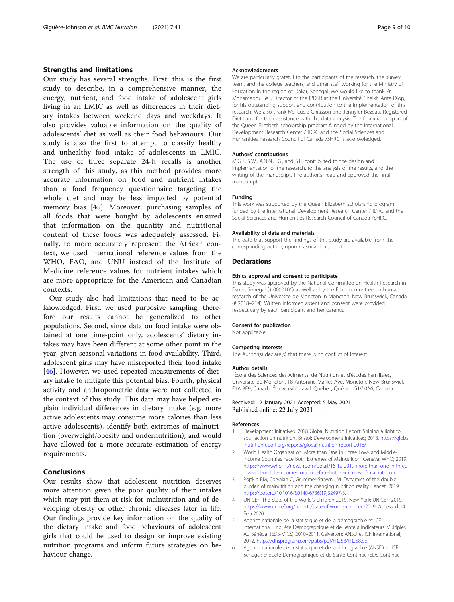#### <span id="page-8-0"></span>Strengths and limitations

Our study has several strengths. First, this is the first study to describe, in a comprehensive manner, the energy, nutrient, and food intake of adolescent girls living in an LMIC as well as differences in their dietary intakes between weekend days and weekdays. It also provides valuable information on the quality of adolescents' diet as well as their food behaviours. Our study is also the first to attempt to classify healthy and unhealthy food intake of adolescents in LMIC. The use of three separate 24-h recalls is another strength of this study, as this method provides more accurate information on food and nutrient intakes than a food frequency questionnaire targeting the whole diet and may be less impacted by potential memory bias [\[45](#page-9-0)]. Moreover, purchasing samples of all foods that were bought by adolescents ensured that information on the quantity and nutritional content of these foods was adequately assessed. Finally, to more accurately represent the African context, we used international reference values from the WHO, FAO, and UNU instead of the Institute of Medicine reference values for nutrient intakes which are more appropriate for the American and Canadian contexts.

Our study also had limitations that need to be acknowledged. First, we used purposive sampling, therefore our results cannot be generalized to other populations. Second, since data on food intake were obtained at one time-point only, adolescents' dietary intakes may have been different at some other point in the year, given seasonal variations in food availability. Third, adolescent girls may have misreported their food intake [[46\]](#page-9-0). However, we used repeated measurements of dietary intake to mitigate this potential bias. Fourth, physical activity and anthropometric data were not collected in the context of this study. This data may have helped explain individual differences in dietary intake (e.g. more active adolescents may consume more calories than less active adolescents), identify both extremes of malnutrition (overweight/obesity and undernutrition), and would have allowed for a more accurate estimation of energy requirements.

#### Conclusions

Our results show that adolescent nutrition deserves more attention given the poor quality of their intakes which may put them at risk for malnutrition and of developing obesity or other chronic diseases later in life. Our findings provide key information on the quality of the dietary intake and food behaviours of adolescent girls that could be used to design or improve existing nutrition programs and inform future strategies on behaviour change.

#### Acknowledgments

We are particularly grateful to the participants of the research, the survey team, and the college teachers, and other staff working for the Ministry of Education in the region of Dakar, Senegal. We would like to thank Pr Mohamadou Sall, Director of the IPDSR at the Université Cheikh Anta Diop, for his outstanding support and contribution to the implementation of this research. We also thank Ms. Lucie Chiasson and Jennyfer Bezeau, Registered Dietitians, for their assistance with the data analysis. The financial support of the Queen Elizabeth scholarship program funded by the International Development Research Center / IDRC and the Social Sciences and Humanities Research Council of Canada /SHRC is acknowledged.

#### Authors' contributions

M.G.J., S.W., A.N.N., I.G., and S.B. contributed to the design and implementation of the research, to the analysis of the results, and the writing of the manuscript. The author(s) read and approved the final manuscript.

#### Funding

This work was supported by the Queen Elizabeth scholarship program funded by the International Development Research Center / IDRC and the Social Sciences and Humanities Research Council of Canada /SHRC.

#### Availability of data and materials

The data that support the findings of this study are available from the corresponding author, upon reasonable request.

#### Declarations

#### Ethics approval and consent to participate

This study was approved by the National Committee on Health Research in Dakar, Senegal (# 0000106) as well as by the Ethic committee on human research of the Université de Moncton in Moncton, New Brunswick, Canada (# 2018–214). Written informed assent and consent were provided respectively by each participant and her parents.

#### Consent for publication

Not applicable.

#### Competing interests

The Author(s) declare(s) that there is no conflict of interest.

#### Author details

<sup>1</sup>École des Sciences des Aliments, de Nutrition et d'études Familiales, Université de Moncton, 18 Antonine-Maillet Ave, Moncton, New Brunswick E1A 3E9, Canada. <sup>2</sup>Université Laval, Québec, Québec G1V 0A6, Canada.

#### Received: 12 January 2021 Accepted: 5 May 2021 Published online: 22 July 2021

#### References

- 1. Development Initiatives. 2018 Global Nutrition Report: Shining a light to spur action on nutrition. Bristol: Development Initiatives; 2018. [https://globa](https://globalnutritionreport.org/reports/global-nutrition-report-2018/) [lnutritionreport.org/reports/global-nutrition-report-2018/](https://globalnutritionreport.org/reports/global-nutrition-report-2018/)
- 2. World Health Organization. More than One in Three Low- and Middle-Income Countries Face Both Extremes of Malnutrition. Geneva: WHO; 2019. [https://www.who.int/news-room/detail/16-12-2019-more-than-one-in-three](https://www.who.int/news-room/detail/16-12-2019-more-than-one-in-three-low-and-middle-income-countries-face-both-extremes-of-malnutrition)[low-and-middle-income-countries-face-both-extremes-of-malnutrition](https://www.who.int/news-room/detail/16-12-2019-more-than-one-in-three-low-and-middle-income-countries-face-both-extremes-of-malnutrition)
- 3. Popkin BM, Corvalan C, Grummer-Strawn LM. Dynamics of the double burden of malnutrition and the changing nutrition reality. Lancet. 2019. [https://doi.org/10.1016/S0140-6736\(19\)32497-3.](https://doi.org/10.1016/S0140-6736(19)32497-3)
- 4. UNICEF. The State of the World's Children 2019. New York: UNICEF; 2019. <https://www.unicef.org/reports/state-of-worlds-children-2019>. Accessed 14 Feb 2020
- 5. Agence nationale de la statistique et de la démographie et ICF International. Enquête Démographique et de Santé à Indicateurs Multiples Au Sénégal (EDS-MICS) 2010–2011. Calverton: ANSD et ICF International; 2012. <https://dhsprogram.com/pubs/pdf/FR258/FR258.pdf>
- 6. Agence nationale de la statistique et de la démographie (ANSD) et ICF. Sénégal: Enquête Démographique et de Santé Continue (EDS-Continue